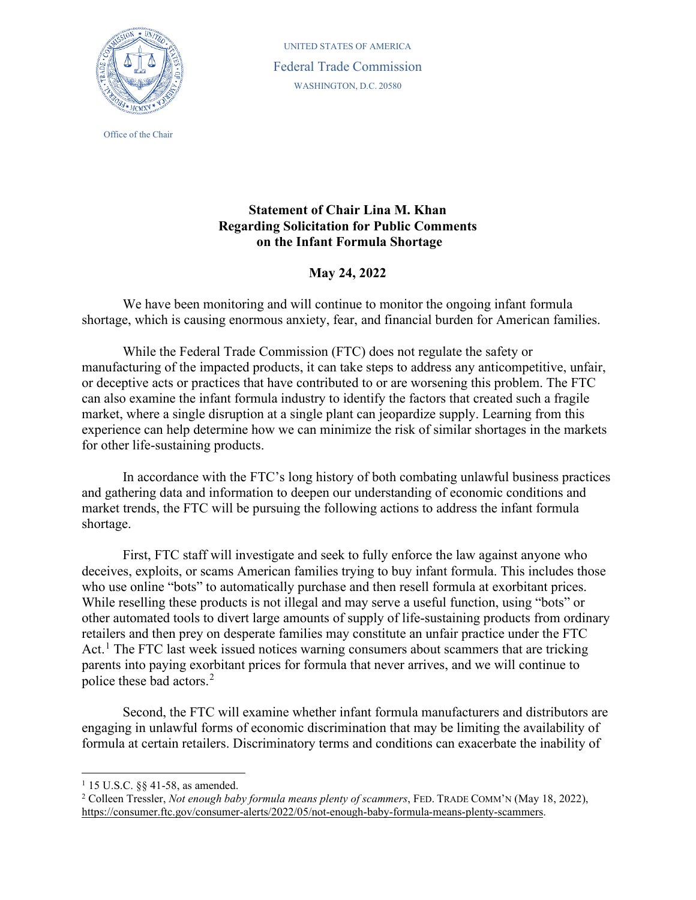

Office of the Chair

 WASHINGTON, D.C. 20580 UNITED STATES OF AMERICA Federal Trade Commission

## **Statement of Chair Lina M. Khan on the Infant Formula Shortage Regarding Solicitation for Public Comments**

## **May 24, 2022**

 We have been monitoring and will continue to monitor the ongoing infant formula shortage, which is causing enormous anxiety, fear, and financial burden for American families.

 While the Federal Trade Commission (FTC) does not regulate the safety or manufacturing of the impacted products, it can take steps to address any anticompetitive, unfair, can also examine the infant formula industry to identify the factors that created such a fragile or deceptive acts or practices that have contributed to or are worsening this problem. The FTC market, where a single disruption at a single plant can jeopardize supply. Learning from this experience can help determine how we can minimize the risk of similar shortages in the markets for other life-sustaining products.

 market trends, the FTC will be pursuing the following actions to address the infant formula In accordance with the FTC's long history of both combating unlawful business practices and gathering data and information to deepen our understanding of economic conditions and shortage.

 First, FTC staff will investigate and seek to fully enforce the law against anyone who who use online "bots" to automatically purchase and then resell formula at exorbitant prices. While reselling these products is not illegal and may serve a useful function, using "bots" or retailers and then prey on desperate families may constitute an unfair practice under the FTC Act.<sup>1</sup> The FTC last week issued notices warning consumers about scammers that are tricking deceives, exploits, or scams American families trying to buy infant formula. This includes those other automated tools to divert large amounts of supply of life-sustaining products from ordinary parents into paying exorbitant prices for formula that never arrives, and we will continue to police these bad actors.[2](#page-0-1)

 Second, the FTC will examine whether infant formula manufacturers and distributors are engaging in unlawful forms of economic discrimination that may be limiting the availability of formula at certain retailers. Discriminatory terms and conditions can exacerbate the inability of

<span id="page-0-1"></span><span id="page-0-0"></span><sup>&</sup>lt;sup>1</sup> 15 U.S.C. §§ 41-58, as amended.<br><sup>2</sup> Colleen Tressler, *Not enough baby formula means plenty of scammers*, FED. TRADE COMM'N (May 18, 2022), [https://consumer.ftc.gov/consumer-alerts/2022/05/not-enough-baby-formula-means-plenty-scammers.](https://consumer.ftc.gov/consumer-alerts/2022/05/not-enough-baby-formula-means-plenty-scammers)